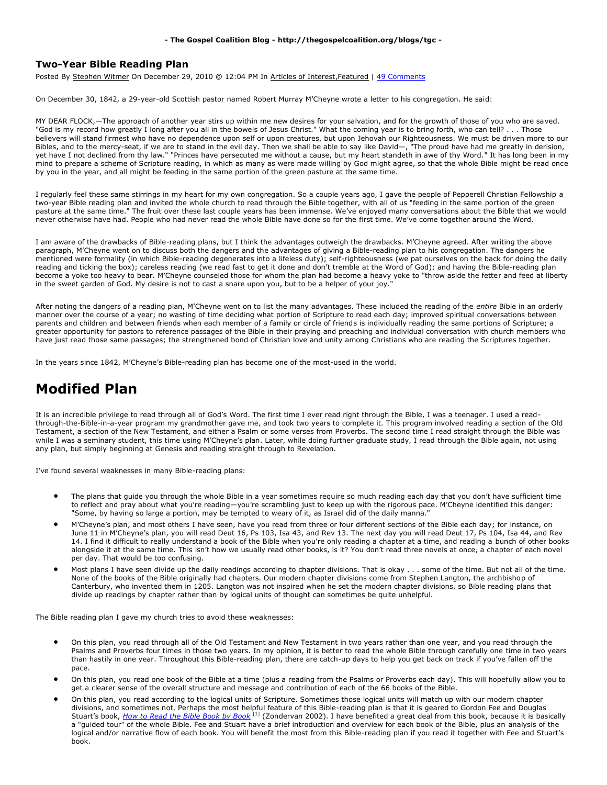## **- The Gospel Coalition Blog - http://thegospelcoalition.org/blogs/tgc -**

## **Two-Year Bible Reading Plan**

Posted By Stephen Witmer On December 29, 2010 @ 12:04 PM In Articles of Interest,Featured | [49 Comments](http://thegospelcoalition.org/blogs/tgc/2010/12/29/two-year-bible-reading-plan/print/#comments_controls)

On December 30, 1842, a 29-year-old Scottish pastor named Robert Murray M'Cheyne wrote a letter to his congregation. He said:

MY DEAR FLOCK,—The approach of another year stirs up within me new desires for your salvation, and for the growth of those of you who are saved. "God is my record how greatly I long after you all in the bowels of Jesus Christ." What the coming year is to bring forth, who can tell? . . . Those believers will stand firmest who have no dependence upon self or upon creatures, but upon Jehovah our Righteousness. We must be driven more to our Bibles, and to the mercy-seat, if we are to stand in the evil day. Then we shall be able to say like David—, "The proud have had me greatly in derision, yet have I not declined from thy law." "Princes have persecuted me without a cause, but my heart standeth in awe of thy Word." It has long been in my mind to prepare a scheme of Scripture reading, in which as many as were made willing by God might agree, so that the whole Bible might be read once by you in the year, and all might be feeding in the same portion of the green pasture at the same time.

I regularly feel these same stirrings in my heart for my own congregation. So a couple years ago, I gave the people of Pepperell Christian Fellowship a two-year Bible reading plan and invited the whole church to read through the Bible together, with all of us "feeding in the same portion of the green pasture at the same time." The fruit over these last couple years has been immense. We've enjoyed many conversations about the Bible that we would never otherwise have had. People who had never read the whole Bible have done so for the first time. We've come together around the Word.

I am aware of the drawbacks of Bible-reading plans, but I think the advantages outweigh the drawbacks. M'Cheyne agreed. After writing the above paragraph, M'Cheyne went on to discuss both the dangers and the advantages of giving a Bible-reading plan to his congregation. The dangers he mentioned were formality (in which Bible-reading degenerates into a lifeless duty); self-righteousness (we pat ourselves on the back for doing the daily reading and ticking the box); careless reading (we read fast to get it done and don't tremble at the Word of God); and having the Bible-reading plan become a yoke too heavy to bear. M'Cheyne counseled those for whom the plan had become a heavy yoke to "throw aside the fetter and feed at liberty in the sweet garden of God. My desire is not to cast a snare upon you, but to be a helper of your joy."

After noting the dangers of a reading plan, M'Cheyne went on to list the many advantages. These included the reading of the *entire* Bible in an orderly manner over the course of a year; no wasting of time deciding what portion of Scripture to read each day; improved spiritual conversations between parents and children and between friends when each member of a family or circle of friends is individually reading the same portions of Scripture; a greater opportunity for pastors to reference passages of the Bible in their praying and preaching and individual conversation with church members who have just read those same passages; the strengthened bond of Christian love and unity among Christians who are reading the Scriptures together.

In the years since 1842, M'Cheyne's Bible-reading plan has become one of the most-used in the world.

## **Modified Plan**

It is an incredible privilege to read through all of God's Word. The first time I ever read right through the Bible, I was a teenager. I used a readthrough-the-Bible-in-a-year program my grandmother gave me, and took two years to complete it. This program involved reading a section of the Old Testament, a section of the New Testament, and either a Psalm or some verses from Proverbs. The second time I read straight through the Bible was while I was a seminary student, this time using M'Cheyne's plan. Later, while doing further graduate study, I read through the Bible again, not using any plan, but simply beginning at Genesis and reading straight through to Revelation.

I've found several weaknesses in many Bible-reading plans:

- The plans that guide you through the whole Bible in a year sometimes require so much reading each day that you don't have sufficient time to reflect and pray about what you're reading—you're scrambling just to keep up with the rigorous pace. M'Cheyne identified this danger: "Some, by having so large a portion, may be tempted to weary of it, as Israel did of the daily manna."
- M'Cheyne's plan, and most others I have seen, have you read from three or four different sections of the Bible each day; for instance, on June 11 in M'Cheyne's plan, you will read Deut 16, Ps 103, Isa 43, and Rev 13. The next day you will read Deut 17, Ps 104, Isa 44, and Rev 14. I find it difficult to really understand a book of the Bible when you're only reading a chapter at a time, and reading a bunch of other books alongside it at the same time. This isn't how we usually read other books, is it? You don't read three novels at once, a chapter of each novel per day. That would be too confusing.
- Most plans I have seen divide up the daily readings according to chapter divisions. That is okay . . . some of the time. But not all of the time. None of the books of the Bible originally had chapters. Our modern chapter divisions come from Stephen Langton, the archbishop of Canterbury, who invented them in 1205. Langton was not inspired when he set the modern chapter divisions, so Bible reading plans that divide up readings by chapter rather than by logical units of thought can sometimes be quite unhelpful.

The Bible reading plan I gave my church tries to avoid these weaknesses:

- On this plan, you read through all of the Old Testament and New Testament in two years rather than one year, and you read through the Psalms and Proverbs four times in those two years. In my opinion, it is better to read the whole Bible through carefully one time in two years than hastily in one year. Throughout this Bible-reading plan, there are catch-up days to help you get back on track if you've fallen off the pace.
- On this plan, you read one book of the Bible at a time (plus a reading from the Psalms or Proverbs each day). This will hopefully allow you to get a clearer sense of the overall structure and message and contribution of each of the 66 books of the Bible.
- On this plan, you read according to the logical units of Scripture. Sometimes those logical units will match up with our modern chapter divisions, and sometimes not. Perhaps the most helpful feature of this Bible-reading plan is that it is geared to Gordon Fee and Douglas Stuart's book, *How [to Read the Bible Book by Book](http://www.amazon.com/How-Read-Bible-Book-Guided/dp/0310211182?tag=thegospcoal-20)* [1] (Zondervan 2002). I have benefited a great deal from this book, because it is basically a "guided tour" of the whole Bible. Fee and Stuart have a brief introduction and overview for each book of the Bible, plus an analysis of the logical and/or narrative flow of each book. You will benefit the most from this Bible-reading plan if you read it together with Fee and Stuart's book.